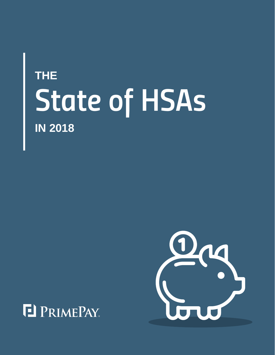# **THE** *State of HSAs* **IN 2018**



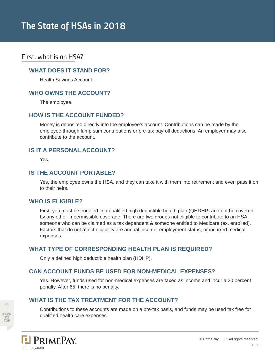# *First, what is an HSA?*

#### **WHAT DOES IT STAND FOR?**

Health Savings Account.

# **WHO OWNS THE ACCOUNT?**

The employee.

# **HOW IS THE ACCOUNT FUNDED?**

Money is deposited directly into the employee's account. Contributions can be made by the employee through lump sum contributions or pre-tax payroll deductions. An employer may also contribute to the account.

# **IS IT A PERSONAL ACCOUNT?**

Yes.

# **IS THE ACCOUNT PORTABLE?**

Yes, the employee owns the HSA, and they can take it with them into retirement and even pass it on to their heirs.

# **WHO IS ELIGIBLE?**

First, you must be enrolled in a qualified high deductible health plan (QHDHP) and not be covered by any other impermissible coverage. There are two groups not eligible to contribute to an HSA: someone who can be claimed as a tax dependent & someone entitled to Medicare (ex. enrolled). Factors that do not affect eligibility are annual income, employment status, or incurred medical expenses.

# **WHAT TYPE OF CORRESPONDING HEALTH PLAN IS REQUIRED?**

Only a defined high deductible health plan (HDHP).

# **CAN ACCOUNT FUNDS BE USED FOR NON-MEDICAL EXPENSES?**

Yes. However, funds used for non-medical expenses are taxed as income and incur a 20 percent penalty. After 65, there is no penalty.

# **WHAT IS THE TAX TREATMENT FOR THE ACCOUNT?**



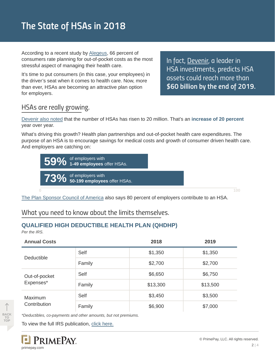# *The State of HSAs in 2018*

According to a recent study by [Alegeus](http://www.alegeus.com/insights/research-reports/2017-alegeus-state-of-denial-research-report), 66 percent of consumers rate planning for out-of-pocket costs as the most stressful aspect of managing their health care.

It's time to put consumers (in this case, your employees) in the driver's seat when it comes to health care. Now, more than ever, HSAs are becoming an attractive plan option for employers.

*In fact, [Devenir,](http://www.devenir.com/health-savings-account-assets-up-22-percent-in-2016/) a leader in HSA investments, predicts HSA assets could reach more than \$60 billion by the end of 2019.* 

# *HSAs are really growing.*

[Devenir also noted](http://www.devenir.com/health-savings-account-assets-up-22-percent-in-2016/) that the number of HSAs has risen to 20 million. That's an **increase of 20 percent** year over year.

What's driving this growth? Health plan partnerships and out-of-pocket health care expenditures. The purpose of an HSA is to encourage savings for medical costs and growth of consumer driven health care. And employers are catching on:



[The Plan Sponsor Council of America](https://www.psca.org/) also says 80 percent of employers contribute to an HSA.

# *What you need to know about the limits themselves.*

# **QUALIFIED HIGH DEDUCTIBLE HEALTH PLAN (QHDHP)**

*Per the IRS.*

**BACK TO TOP**

| <b>Annual Costs</b>            |        | 2018     | 2019     |
|--------------------------------|--------|----------|----------|
| <b>Deductible</b>              | Self   | \$1,350  | \$1,350  |
|                                | Family | \$2,700  | \$2,700  |
| Out-of-pocket<br>Expenses*     | Self   | \$6,650  | \$6,750  |
|                                | Family | \$13,300 | \$13,500 |
| <b>Maximum</b><br>Contribution | Self   | \$3,450  | \$3,500  |
|                                | Family | \$6,900  | \$7,000  |

*\*Deductibles, co-payments and other amounts, but not premiums.*

To view the full IRS publication, [click here.](https://www.irs.gov/pub/irs-drop/rp-17-37.pdf)

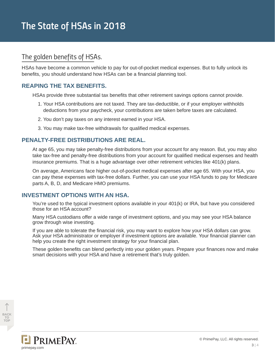# *The golden benefits of HSAs.*

HSAs have become a common vehicle to pay for out-of-pocket medical expenses. But to fully unlock its benefits, you should understand how HSAs can be a financial planning tool.

# **REAPING THE TAX BENEFITS.**

HSAs provide three substantial tax benefits that other retirement savings options cannot provide.

- 1. Your HSA contributions are not taxed. They are tax-deductible, or if your employer withholds deductions from your paycheck, your contributions are taken before taxes are calculated.
- 2. You don't pay taxes on any interest earned in your HSA.
- 3. You may make tax-free withdrawals for qualified medical expenses.

# **PENALTY-FREE DISTRIBUTIONS ARE REAL.**

At age 65, you may take penalty-free distributions from your account for any reason. But, you may also take tax-free and penalty-free distributions from your account for qualified medical expenses and health insurance premiums. That is a huge advantage over other retirement vehicles like 401(k) plans.

On average, Americans face higher out-of-pocket medical expenses after age 65. With your HSA, you can pay these expenses with tax-free dollars. Further, you can use your HSA funds to pay for Medicare parts A, B, D, and Medicare HMO premiums.

# **INVESTMENT OPTIONS WITH AN HSA.**

You're used to the typical investment options available in your 401(k) or IRA, but have you considered those for an HSA account?

Many HSA custodians offer a wide range of investment options, and you may see your HSA balance grow through wise investing.

If you are able to tolerate the financial risk, you may want to explore how your HSA dollars can grow. Ask your HSA administrator or employer if investment options are available. Your financial planner can help you create the right investment strategy for your financial plan.

These golden benefits can blend perfectly into your golden years. Prepare your finances now and make smart decisions with your HSA and have a retirement that's truly golden.